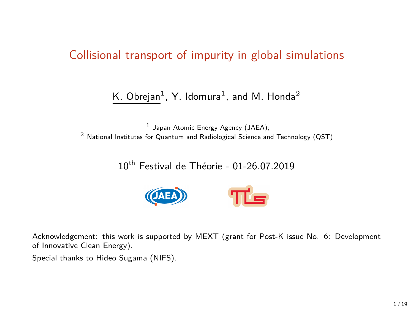#### Collisional transport of impurity in global simulations

#### K. Obrejan $^1$ , Y. Idomura $^1$ , and M. Honda $^2$

 $<sup>1</sup>$  Japan Atomic Energy Agency (JAEA);</sup> <sup>2</sup> National Institutes for Quantum and Radiological Science and Technology (QST)

### 10th Festival de Théorie - 01-26.07.2019



Acknowledgement: this work is supported by MEXT (grant for Post-K issue No. 6: Development of Innovative Clean Energy).

Special thanks to Hideo Sugama (NIFS).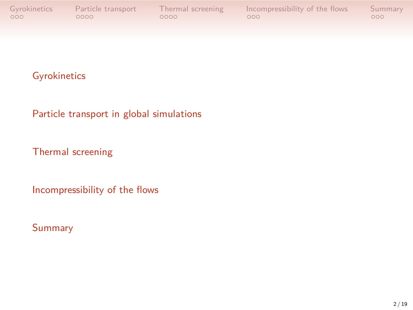Gyrokinetics Particle transport Thermal screening Incompressibility of the flows Summary<br>  $\begin{array}{ccc}\n\text{OOO} & \text{OOO} \\
\text{OOO} & \text{OOO}\n\end{array}$ 

### Gyrokinetics

Particle transport in global simulations

Thermal screening

Incompressibility of the flows

#### Summary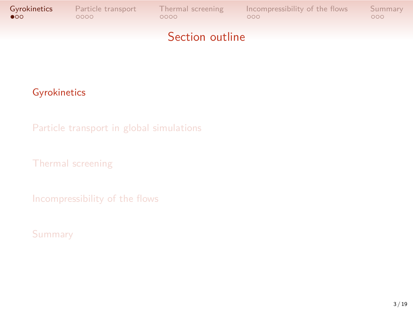

### Gyrokinetics

Particle transport in global simulations

Thermal screening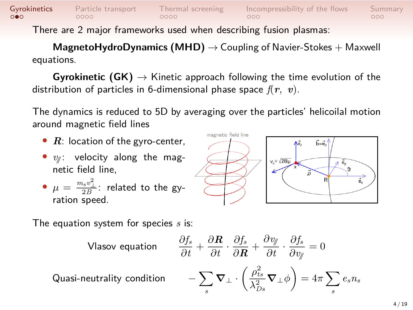## Gyrokinetics Particle transport Thermal screening Incompressibility of the flows Summary<br>  $\overline{O}$

There are 2 major frameworks used when describing fusion plasmas:

**MagnetoHydroDynamics (MHD)** *→* Coupling of Navier-Stokes + Maxwell equations.

**Gyrokinetic (GK)** *→* Kinetic approach following the time evolution of the distribution of particles in 6-dimensional phase space *f*(*r, v*).

The dynamics is reduced to 5D by averaging over the particles' helicoilal motion around magnetic field lines

magneti

- *R*: location of the gyro-center,
- $v_{\text{M}}$ : velocity along the magnetic field line,
- $\bullet$   $\mu = \frac{m_s v_\perp^2}{2B}$ : related to the gyration speed.

The equation system for species *s* is:

Vlasov equation 
$$
\frac{\partial f_s}{\partial t} + \frac{\partial \mathbf{R}}{\partial t} \cdot \frac{\partial f_s}{\partial \mathbf{R}} + \frac{\partial v_y}{\partial t} \cdot \frac{\partial f_s}{\partial v_y} = 0
$$
  
ductrality condition 
$$
-\sum_s \mathbf{\nabla} \perp \cdot \left(\frac{\rho_{ts}^2}{\lambda_{Ds}^2} \mathbf{\nabla}_{\perp} \phi\right) = 4\pi \sum_s e_s n_s
$$

*s*

*∂f<sup>s</sup>*

*∂v*//

Quasi-neu

$$
v_x = \sqrt{2E_1}
$$

*∂f<sup>s</sup>*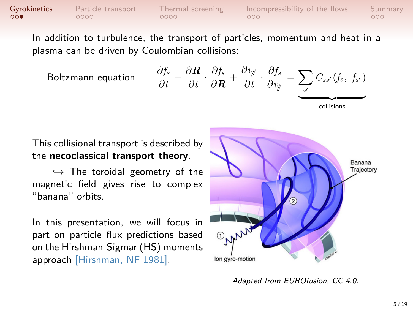## Gyrokinetics Particle transport Thermal screening Incompressibility of the flows Summary<br>  $\begin{array}{ccc}\n\text{OOO} & \text{OOO} \\
\text{OOO} & \text{OOO}\n\end{array}$

In addition to turbulence, the transport of particles, momentum and heat in a plasma can be driven by Coulombian collisions:

Boltzmann equation *<sup>∂</sup>f<sup>s</sup>*

$$
\text{mann equation} \qquad \frac{\partial f_s}{\partial t} + \frac{\partial \mathbf{R}}{\partial t} \cdot \frac{\partial f_s}{\partial \mathbf{R}} + \frac{\partial v_{\mathcal{Y}}}{\partial t} \cdot \frac{\partial f_s}{\partial v_{\mathcal{Y}}} = \underbrace{\sum_{s'} C_{ss'}(f_s, f_{s'})}_{\text{collisions}}
$$

This collisional transport is described by the **necoclassical transport theory**.

*,→* The toroidal geometry of the magnetic field gives rise to complex "banana" orbits.

In this presentation, we will focus in part on particle flux predictions based on the Hirshman-Sigmar (HS) moments approach [Hirshman, NF 1981].



*Adapted from EUROfusion, CC 4.0.*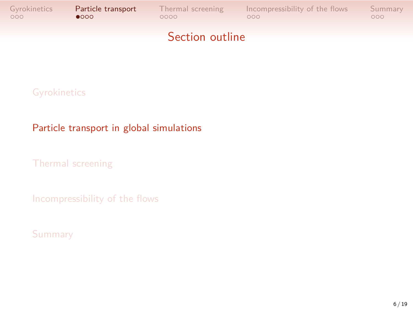## Gyrokinetics **Particle transport** Thermal screening Incompressibility of the flows Summary<br>  $\begin{array}{cc}\n000 & 000 & 000\n\end{array}$ Section outline

**Gyrokinetics** 

#### Particle transport in global simulations

Thermal screening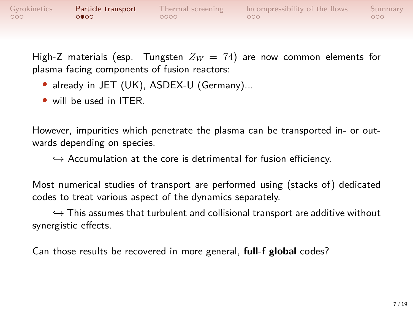

High-Z materials (esp. Tungsten  $Z_W = 74$ ) are now common elements for plasma facing components of fusion reactors:

- *•* already in JET (UK), ASDEX-U (Germany)...
- *•* will be used in ITER.

However, impurities which penetrate the plasma can be transported in- or outwards depending on species.

*,→* Accumulation at the core is detrimental for fusion efficiency.

Most numerical studies of transport are performed using (stacks of) dedicated codes to treat various aspect of the dynamics separately.

*,→* This assumes that turbulent and collisional transport are additive without synergistic effects.

Can those results be recovered in more general, **full-f global** codes?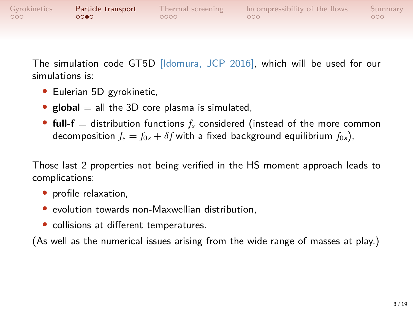| Gyrokinetics | Particle transport | Thermal screening | Incompressibility of the flows | Summary |
|--------------|--------------------|-------------------|--------------------------------|---------|
| 000          | 0000               | 0000              | റററ                            | 000     |
|              |                    |                   |                                |         |

The simulation code GT5D [Idomura, JCP 2016], which will be used for our simulations is:

- *•* Eulerian 5D gyrokinetic,
- *•* **global** = all the 3D core plasma is simulated,
- *•* **full-f** = distribution functions *f<sup>s</sup>* considered (instead of the more common decomposition  $f_s = f_{0s} + \delta f$  with a fixed background equilibrium  $f_{0s}$ ),

Those last 2 properties not being verified in the HS moment approach leads to complications:

- *•* profile relaxation,
- *•* evolution towards non-Maxwellian distribution,
- *•* collisions at different temperatures.

(As well as the numerical issues arising from the wide range of masses at play.)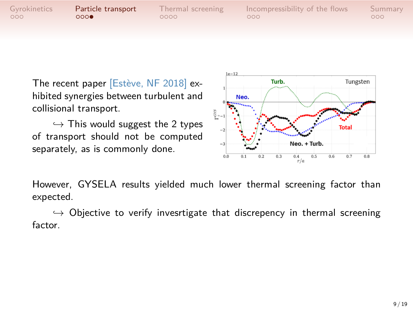| Gyrokinetics<br>Incompressibility of the flows<br>Particle transport<br>Thermal screening<br>000<br>റററ<br>0000<br>റററ | Summary<br>000. |
|------------------------------------------------------------------------------------------------------------------------|-----------------|
|------------------------------------------------------------------------------------------------------------------------|-----------------|

The recent paper [Estève, NF 2018] exhibited synergies between turbulent and collisional transport.

*,→* This would suggest the 2 types of transport should not be computed separately, as is commonly done.



However, GYSELA results yielded much lower thermal screening factor than expected.

*,→* Objective to verify invesrtigate that discrepency in thermal screening factor.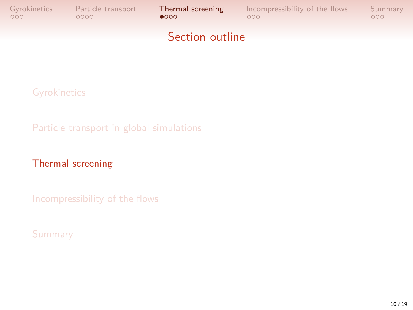

**Gyrokinetics** 

Particle transport in global simulations

### Thermal screening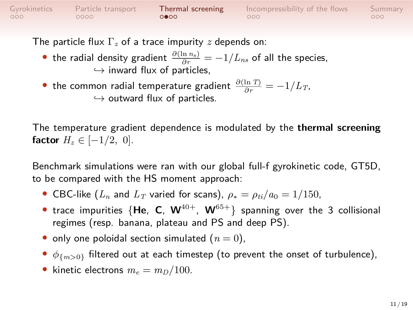| Gyrokinetics | Particle transport | Thermal screening | Incompressibility of the flows | Summary          |
|--------------|--------------------|-------------------|--------------------------------|------------------|
| 000          | - 0000 -           | റ∙റെ              | റററ                            | 000 <sup>1</sup> |
|              |                    |                   |                                |                  |

The particle flux Γ*<sup>z</sup>* of a trace impurity *z* depends on:

- the radial density gradient  $\frac{\partial(\ln n_s)}{\partial r} = -1/L_{ns}$  of all the species, *,→* inward flux of particles,
- the common radial temperature gradient  $\frac{\partial (\ln T)}{\partial r} = -1/L_T$ , *,→* outward flux of particles.

The temperature gradient dependence is modulated by the **thermal screening factor** *H*<sub>*z*</sub> ∈  $[-1/2, 0]$ .

Benchmark simulations were ran with our global full-f gyrokinetic code, GT5D, to be compared with the HS moment approach:

- CBC-like  $(L_n$  and  $L_T$  varied for scans),  $\rho_* = \rho_{ti}/a_0 = 1/150$ ,
- *•* trace impurities {**He**, **C**, **W**40+, **W**65+} spanning over the 3 collisional regimes (resp. banana, plateau and PS and deep PS).
- only one poloidal section simulated  $(n = 0)$ ,
- *• ϕ{m>*0*}* filtered out at each timestep (to prevent the onset of turbulence),
- kinetic electrons  $m_e = m_D/100$ .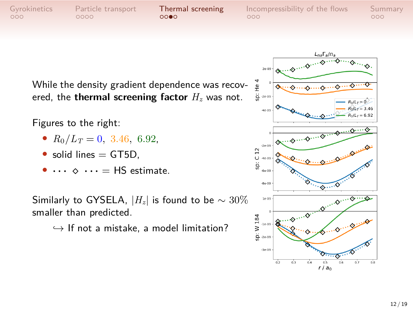Gyrokinetics Particle transport **Thermal screening** Incompressibility of the flows Summary<br>  $\begin{array}{ccc}\n000 & 000 & 000 \\
000 & 000 & 000\n\end{array}$ 

While the density gradient dependence was recov-  $\frac{4}{x}$ ered, the **thermal screening factor** *H<sup>z</sup>* was not.

Figures to the right:

- $R_0/L_T = 0$ , 3.46, 6.92,
- solid lines = GT5D,
- *• · · · ⋄ · · ·* = HS estimate.

Similarly to GYSELA,  $|H_z|$  is found to be  $\sim 30\%$ smaller than predicted.

*,→* If not a mistake, a model limitation?

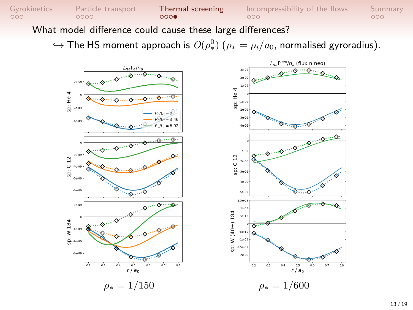

 $\hookrightarrow$  The HS moment approach is  $O(\rho_*^0)$   $(\rho_* = \rho_i/a_0$ , normalised gyroradius).

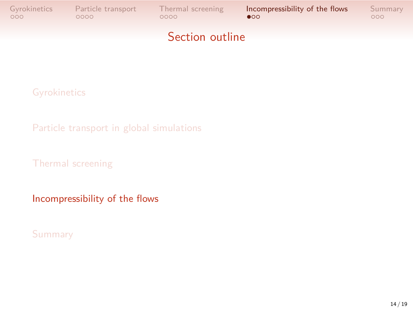# Gyrokinetics Particle transport Thermal screening **Incompressibility of the flows** Summary<br>  $\begin{array}{ccc}\n\text{OOO} & \text{OOO} & \text{OOO} \\
\text{OOO} & \text{OOO} & \text{OOO} & \text{OOO}\n\end{array}$ Section outline

**Gyrokinetics** 

Particle transport in global simulations

Thermal screening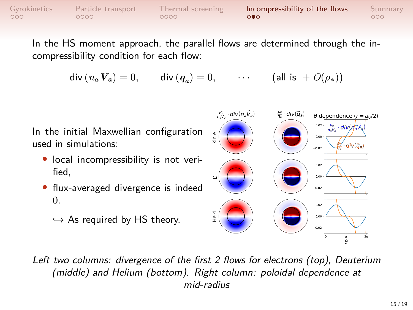| Gyrokinetics | Particle transport | Thermal screening | Incompressibility of the flows | Summary |
|--------------|--------------------|-------------------|--------------------------------|---------|
| 000          | ,0000              | ,0000             | $\circ \bullet \circ$          | noo.    |
|              |                    |                   |                                |         |

In the HS moment approach, the parallel flows are determined through the incompressibility condition for each flow:

 $\mathsf{div}\left(n_a\,\pmb{V}_a\right)=0,\qquad \mathsf{div}\left(\pmb{q}_a\right)=0,$  $\cdots$  (all is  $+ O(\rho_*)$ )



*Left two columns: divergence of the first 2 flows for electrons (top), Deuterium (middle) and Helium (bottom). Right column: poloidal dependence at mid-radius*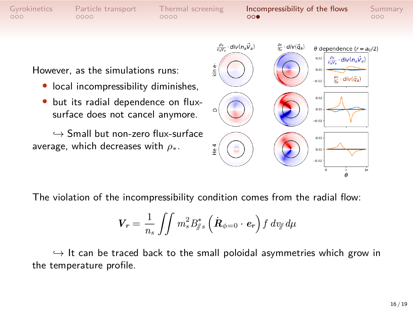

The violation of the incompressibility condition comes from the radial flow:

$$
\boldsymbol{V}_r = \frac{1}{n_s} \iint m_s^2 B_{\parallel s}^* \left( \dot{\boldsymbol{R}}_{\phi=0} \cdot \boldsymbol{e}_r \right) f \, dv_{\parallel} d\mu
$$

*,→* It can be traced back to the small poloidal asymmetries which grow in the temperature profile.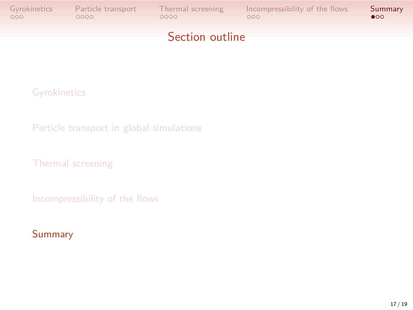

**Gyrokinetics** 

Particle transport in global simulations

Thermal screening

Incompressibility of the flows

#### Summary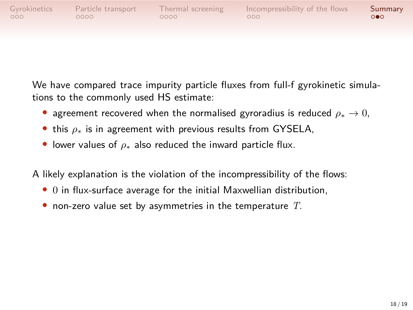| Gyrokinetics     | Particle transport | Thermal screening | Incompressibility of the flows | Summary |
|------------------|--------------------|-------------------|--------------------------------|---------|
| 000 <sup>o</sup> | 0000               | 0000              | COO.                           | െ       |
|                  |                    |                   |                                |         |

We have compared trace impurity particle fluxes from full-f gyrokinetic simulations to the commonly used HS estimate:

- *•* agreement recovered when the normalised gyroradius is reduced *ρ<sup>∗</sup> →* 0,
- *•* this *ρ<sup>∗</sup>* is in agreement with previous results from GYSELA,
- *•* lower values of *ρ<sup>∗</sup>* also reduced the inward particle flux.

A likely explanation is the violation of the incompressibility of the flows:

- *•* 0 in flux-surface average for the initial Maxwellian distribution,
- *•* non-zero value set by asymmetries in the temperature *T*.